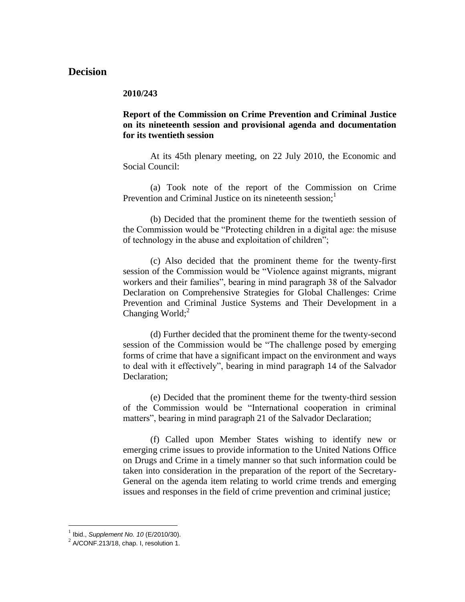# **Decision**

#### **2010/243**

## **Report of the Commission on Crime Prevention and Criminal Justice on its nineteenth session and provisional agenda and documentation for its twentieth session**

At its 45th plenary meeting, on 22 July 2010, the Economic and Social Council:

(a) Took note of the report of the Commission on Crime Prevention and Criminal Justice on its nineteenth session; $<sup>1</sup>$ </sup>

(b) Decided that the prominent theme for the twentieth session of the Commission would be "Protecting children in a digital age: the misuse of technology in the abuse and exploitation of children";

(c) Also decided that the prominent theme for the twenty-first session of the Commission would be "Violence against migrants, migrant workers and their families", bearing in mind paragraph 38 of the Salvador Declaration on Comprehensive Strategies for Global Challenges: Crime Prevention and Criminal Justice Systems and Their Development in a Changing World; $2$ 

(d) Further decided that the prominent theme for the twenty-second session of the Commission would be "The challenge posed by emerging forms of crime that have a significant impact on the environment and ways to deal with it effectively", bearing in mind paragraph 14 of the Salvador Declaration;

(e) Decided that the prominent theme for the twenty-third session of the Commission would be "International cooperation in criminal matters", bearing in mind paragraph 21 of the Salvador Declaration;

(f) Called upon Member States wishing to identify new or emerging crime issues to provide information to the United Nations Office on Drugs and Crime in a timely manner so that such information could be taken into consideration in the preparation of the report of the Secretary-General on the agenda item relating to world crime trends and emerging issues and responses in the field of crime prevention and criminal justice;

 1 Ibid., *Supplement No. 10* (E/2010/30).

 $^{2}$  A/CONF.213/18, chap. I, resolution 1.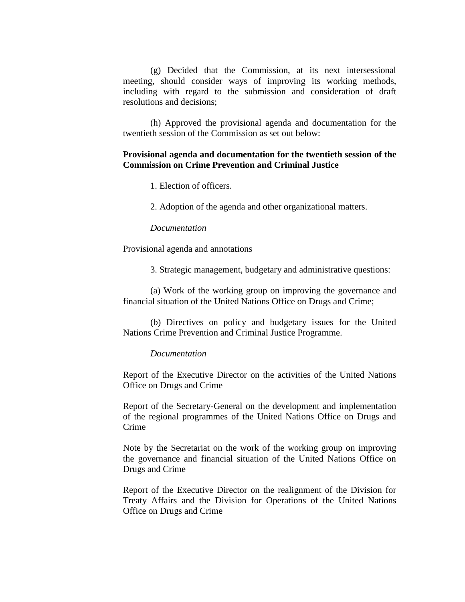(g) Decided that the Commission, at its next intersessional meeting, should consider ways of improving its working methods, including with regard to the submission and consideration of draft resolutions and decisions;

(h) Approved the provisional agenda and documentation for the twentieth session of the Commission as set out below:

## **Provisional agenda and documentation for the twentieth session of the Commission on Crime Prevention and Criminal Justice**

1. Election of officers.

2. Adoption of the agenda and other organizational matters.

#### *Documentation*

Provisional agenda and annotations

3. Strategic management, budgetary and administrative questions:

(a) Work of the working group on improving the governance and financial situation of the United Nations Office on Drugs and Crime;

(b) Directives on policy and budgetary issues for the United Nations Crime Prevention and Criminal Justice Programme.

#### *Documentation*

Report of the Executive Director on the activities of the United Nations Office on Drugs and Crime

Report of the Secretary-General on the development and implementation of the regional programmes of the United Nations Office on Drugs and Crime

Note by the Secretariat on the work of the working group on improving the governance and financial situation of the United Nations Office on Drugs and Crime

Report of the Executive Director on the realignment of the Division for Treaty Affairs and the Division for Operations of the United Nations Office on Drugs and Crime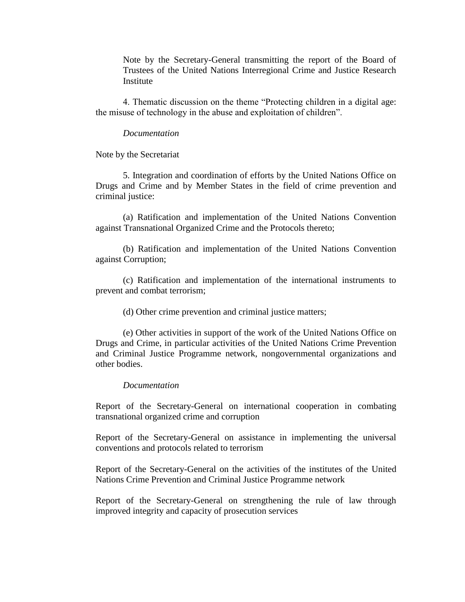Note by the Secretary-General transmitting the report of the Board of Trustees of the United Nations Interregional Crime and Justice Research Institute

4. Thematic discussion on the theme "Protecting children in a digital age: the misuse of technology in the abuse and exploitation of children".

#### *Documentation*

Note by the Secretariat

5. Integration and coordination of efforts by the United Nations Office on Drugs and Crime and by Member States in the field of crime prevention and criminal justice:

(a) Ratification and implementation of the United Nations Convention against Transnational Organized Crime and the Protocols thereto;

(b) Ratification and implementation of the United Nations Convention against Corruption;

(c) Ratification and implementation of the international instruments to prevent and combat terrorism;

(d) Other crime prevention and criminal justice matters;

(e) Other activities in support of the work of the United Nations Office on Drugs and Crime, in particular activities of the United Nations Crime Prevention and Criminal Justice Programme network, nongovernmental organizations and other bodies.

#### *Documentation*

Report of the Secretary-General on international cooperation in combating transnational organized crime and corruption

Report of the Secretary-General on assistance in implementing the universal conventions and protocols related to terrorism

Report of the Secretary-General on the activities of the institutes of the United Nations Crime Prevention and Criminal Justice Programme network

Report of the Secretary-General on strengthening the rule of law through improved integrity and capacity of prosecution services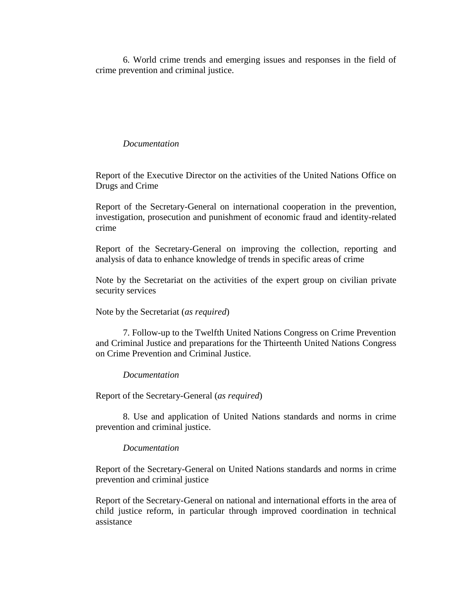6. World crime trends and emerging issues and responses in the field of crime prevention and criminal justice.

### *Documentation*

Report of the Executive Director on the activities of the United Nations Office on Drugs and Crime

Report of the Secretary-General on international cooperation in the prevention, investigation, prosecution and punishment of economic fraud and identity-related crime

Report of the Secretary-General on improving the collection, reporting and analysis of data to enhance knowledge of trends in specific areas of crime

Note by the Secretariat on the activities of the expert group on civilian private security services

### Note by the Secretariat (*as required*)

7. Follow-up to the Twelfth United Nations Congress on Crime Prevention and Criminal Justice and preparations for the Thirteenth United Nations Congress on Crime Prevention and Criminal Justice.

### *Documentation*

Report of the Secretary-General (*as required*)

8. Use and application of United Nations standards and norms in crime prevention and criminal justice.

### *Documentation*

Report of the Secretary-General on United Nations standards and norms in crime prevention and criminal justice

Report of the Secretary-General on national and international efforts in the area of child justice reform, in particular through improved coordination in technical assistance